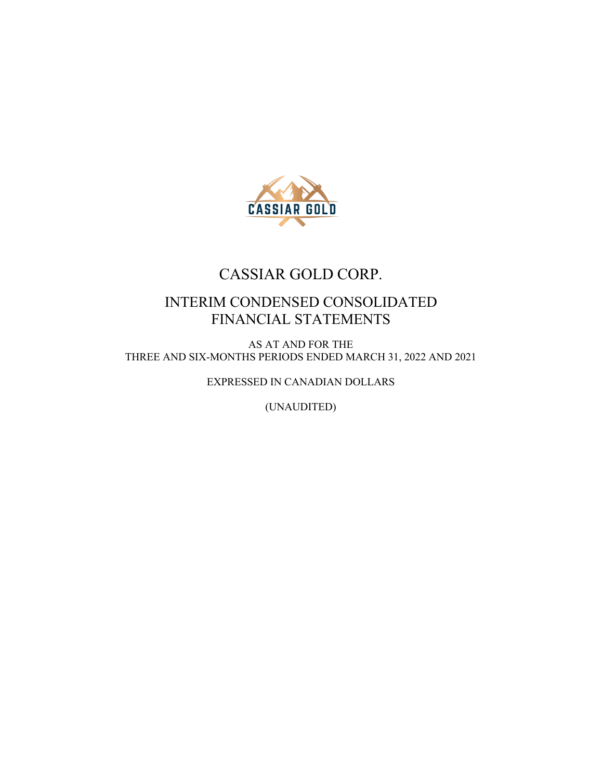

## CASSIAR GOLD CORP.

## INTERIM CONDENSED CONSOLIDATED FINANCIAL STATEMENTS

AS AT AND FOR THE THREE AND SIX-MONTHS PERIODS ENDED MARCH 31, 2022 AND 2021

EXPRESSED IN CANADIAN DOLLARS

(UNAUDITED)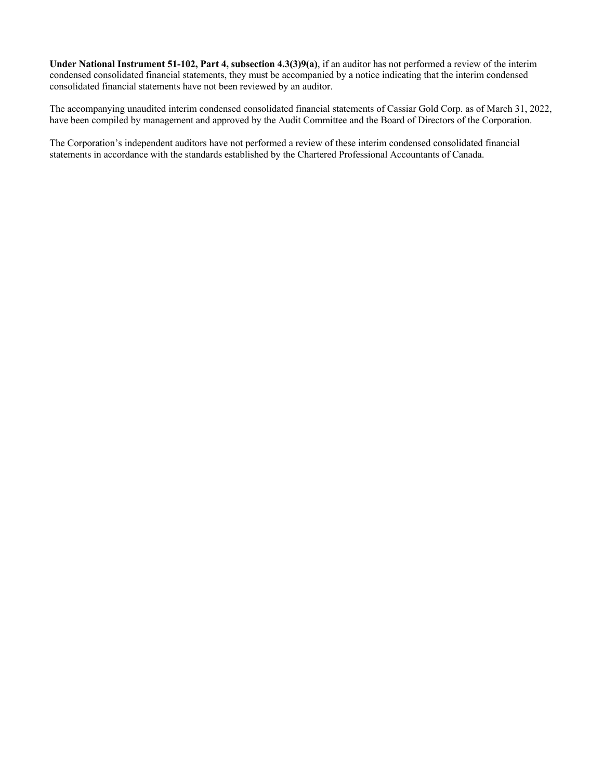**Under National Instrument 51-102, Part 4, subsection 4.3(3)9(a)**, if an auditor has not performed a review of the interim condensed consolidated financial statements, they must be accompanied by a notice indicating that the interim condensed consolidated financial statements have not been reviewed by an auditor.

The accompanying unaudited interim condensed consolidated financial statements of Cassiar Gold Corp. as of March 31, 2022, have been compiled by management and approved by the Audit Committee and the Board of Directors of the Corporation.

The Corporation's independent auditors have not performed a review of these interim condensed consolidated financial statements in accordance with the standards established by the Chartered Professional Accountants of Canada.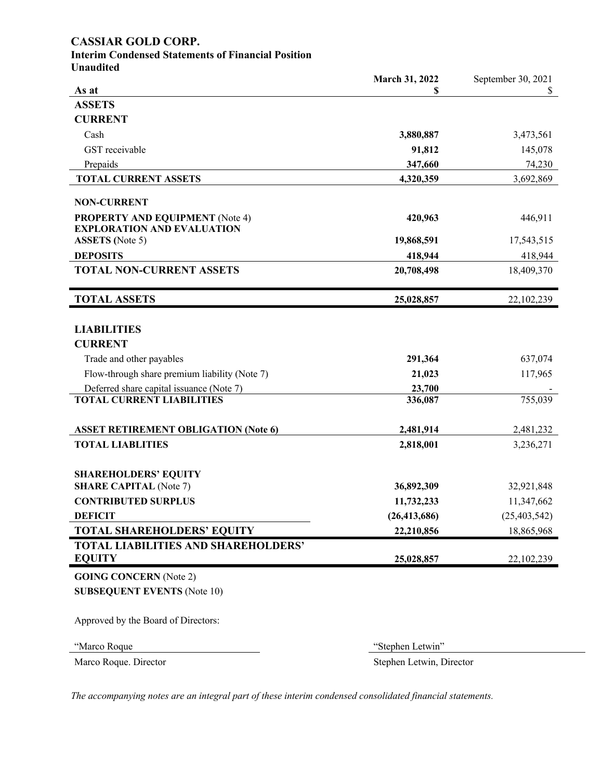## **CASSIAR GOLD CORP.**

# **Interim Condensed Statements of Financial Position**

|  |  | Unaudited |  |
|--|--|-----------|--|
|--|--|-----------|--|

|                                                             | March 31, 2022 | September 30, 2021 |
|-------------------------------------------------------------|----------------|--------------------|
| As at                                                       | \$             | \$                 |
| <b>ASSETS</b>                                               |                |                    |
| <b>CURRENT</b>                                              |                |                    |
| Cash                                                        | 3,880,887      | 3,473,561          |
| GST receivable                                              | 91,812         | 145,078            |
| Prepaids                                                    | 347,660        | 74,230             |
| <b>TOTAL CURRENT ASSETS</b>                                 | 4,320,359      | 3,692,869          |
|                                                             |                |                    |
| <b>NON-CURRENT</b>                                          |                |                    |
| <b>PROPERTY AND EQUIPMENT</b> (Note 4)                      | 420,963        | 446,911            |
| <b>EXPLORATION AND EVALUATION</b><br><b>ASSETS</b> (Note 5) | 19,868,591     | 17,543,515         |
| <b>DEPOSITS</b>                                             | 418,944        |                    |
| <b>TOTAL NON-CURRENT ASSETS</b>                             |                | 418,944            |
|                                                             | 20,708,498     | 18,409,370         |
| <b>TOTAL ASSETS</b>                                         | 25,028,857     | 22,102,239         |
|                                                             |                |                    |
| <b>LIABILITIES</b>                                          |                |                    |
| <b>CURRENT</b>                                              |                |                    |
| Trade and other payables                                    | 291,364        | 637,074            |
| Flow-through share premium liability (Note 7)               | 21,023         | 117,965            |
| Deferred share capital issuance (Note 7)                    | 23,700         |                    |
| <b>TOTAL CURRENT LIABILITIES</b>                            | 336,087        | 755,039            |
|                                                             |                |                    |
| <b>ASSET RETIREMENT OBLIGATION (Note 6)</b>                 | 2,481,914      | 2,481,232          |
| <b>TOTAL LIABLITIES</b>                                     | 2,818,001      | 3,236,271          |
|                                                             |                |                    |
| <b>SHAREHOLDERS' EQUITY</b>                                 |                |                    |
| <b>SHARE CAPITAL (Note 7)</b>                               | 36,892,309     | 32,921,848         |
| <b>CONTRIBUTED SURPLUS</b>                                  | 11,732,233     | 11,347,662         |
| <b>DEFICIT</b>                                              | (26, 413, 686) | (25, 403, 542)     |
| <b>TOTAL SHAREHOLDERS' EQUITY</b>                           | 22,210,856     | 18,865,968         |
| TOTAL LIABILITIES AND SHAREHOLDERS'                         |                |                    |
| <b>EQUITY</b>                                               | 25,028,857     | 22,102,239         |
| <b>GOING CONCERN</b> (Note 2)                               |                |                    |
| <b>SUBSEQUENT EVENTS (Note 10)</b>                          |                |                    |
|                                                             |                |                    |
| Approved by the Board of Directors:                         |                |                    |
|                                                             |                |                    |

"Marco Roque "Stephen Letwin"

Marco Roque. Director Stephen Letwin, Director

*The accompanying notes are an integral part of these interim condensed consolidated financial statements.*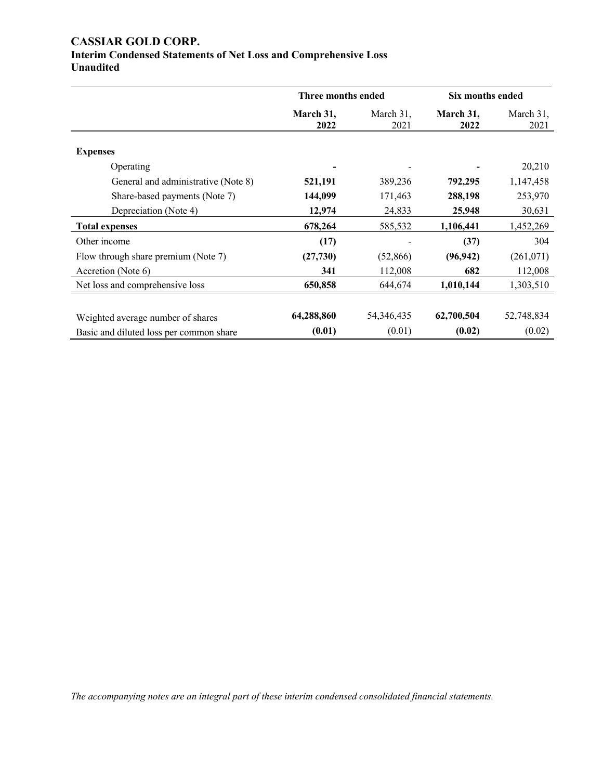## **CASSIAR GOLD CORP. Interim Condensed Statements of Net Loss and Comprehensive Loss Unaudited**

|                                         | Three months ended |                   | Six months ended  |                   |
|-----------------------------------------|--------------------|-------------------|-------------------|-------------------|
|                                         | March 31,<br>2022  | March 31,<br>2021 | March 31,<br>2022 | March 31,<br>2021 |
| <b>Expenses</b>                         |                    |                   |                   |                   |
| Operating                               |                    |                   |                   | 20,210            |
| General and administrative (Note 8)     | 521,191            | 389,236           | 792,295           | 1,147,458         |
| Share-based payments (Note 7)           | 144,099            | 171,463           | 288,198           | 253,970           |
| Depreciation (Note 4)                   | 12,974             | 24,833            | 25,948            | 30,631            |
| <b>Total expenses</b>                   | 678,264            | 585,532           | 1,106,441         | 1,452,269         |
| Other income                            | (17)               |                   | (37)              | 304               |
| Flow through share premium (Note 7)     | (27, 730)          | (52, 866)         | (96, 942)         | (261,071)         |
| Accretion (Note 6)                      | 341                | 112,008           | 682               | 112,008           |
| Net loss and comprehensive loss         | 650,858            | 644,674           | 1,010,144         | 1,303,510         |
|                                         |                    |                   |                   |                   |
| Weighted average number of shares       | 64,288,860         | 54, 346, 435      | 62,700,504        | 52,748,834        |
| Basic and diluted loss per common share | (0.01)             | (0.01)            | (0.02)            | (0.02)            |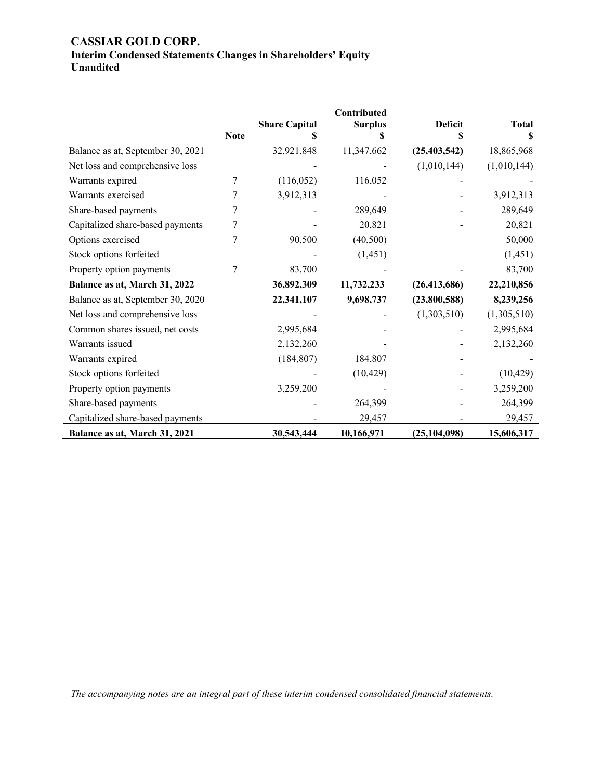## **CASSIAR GOLD CORP. Interim Condensed Statements Changes in Shareholders' Equity Unaudited**

|                                   |             |                      | Contributed    |                |              |
|-----------------------------------|-------------|----------------------|----------------|----------------|--------------|
|                                   | <b>Note</b> | <b>Share Capital</b> | <b>Surplus</b> | <b>Deficit</b> | <b>Total</b> |
|                                   |             |                      | \$             | S              | \$           |
| Balance as at, September 30, 2021 |             | 32,921,848           | 11,347,662     | (25, 403, 542) | 18,865,968   |
| Net loss and comprehensive loss   |             |                      |                | (1,010,144)    | (1,010,144)  |
| Warrants expired                  | 7           | (116,052)            | 116,052        |                |              |
| Warrants exercised                | 7           | 3,912,313            |                |                | 3,912,313    |
| Share-based payments              | 7           |                      | 289,649        |                | 289,649      |
| Capitalized share-based payments  | 7           |                      | 20,821         |                | 20,821       |
| Options exercised                 | 7           | 90,500               | (40, 500)      |                | 50,000       |
| Stock options forfeited           |             |                      | (1, 451)       |                | (1,451)      |
| Property option payments          | 7           | 83,700               |                |                | 83,700       |
| Balance as at, March 31, 2022     |             | 36,892,309           | 11,732,233     | (26, 413, 686) | 22,210,856   |
| Balance as at, September 30, 2020 |             | 22,341,107           | 9,698,737      | (23,800,588)   | 8,239,256    |
| Net loss and comprehensive loss   |             |                      |                | (1,303,510)    | (1,305,510)  |
| Common shares issued, net costs   |             | 2,995,684            |                |                | 2,995,684    |
| Warrants issued                   |             | 2,132,260            |                |                | 2,132,260    |
| Warrants expired                  |             | (184, 807)           | 184,807        |                |              |
| Stock options forfeited           |             |                      | (10, 429)      |                | (10, 429)    |
| Property option payments          |             | 3,259,200            |                |                | 3,259,200    |
| Share-based payments              |             |                      | 264,399        |                | 264,399      |
| Capitalized share-based payments  |             |                      | 29,457         |                | 29,457       |
| Balance as at, March 31, 2021     |             | 30,543,444           | 10,166,971     | (25, 104, 098) | 15,606,317   |

*The accompanying notes are an integral part of these interim condensed consolidated financial statements.*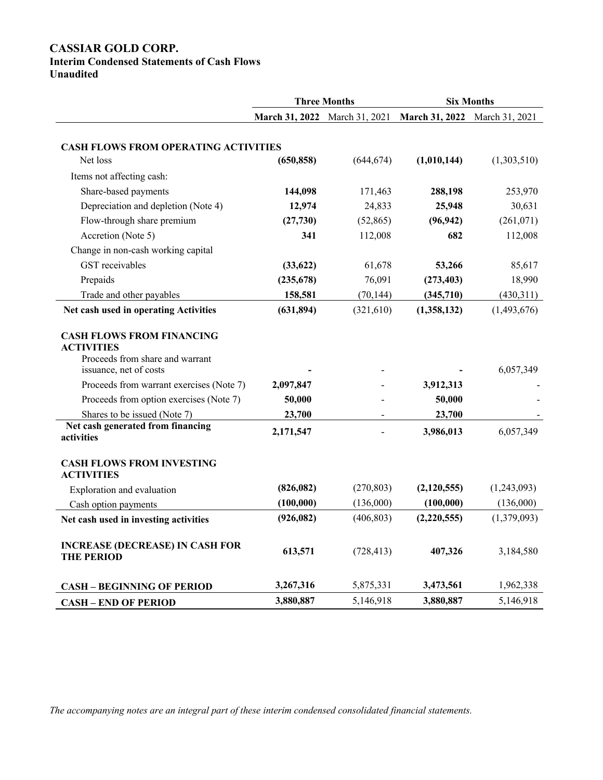## **CASSIAR GOLD CORP.**

## **Interim Condensed Statements of Cash Flows**

**Unaudited**

|                                                                                                                                                                                                       | <b>Three Months</b>           |            |                               | <b>Six Months</b> |
|-------------------------------------------------------------------------------------------------------------------------------------------------------------------------------------------------------|-------------------------------|------------|-------------------------------|-------------------|
|                                                                                                                                                                                                       | March 31, 2022 March 31, 2021 |            | March 31, 2022 March 31, 2021 |                   |
|                                                                                                                                                                                                       |                               |            |                               |                   |
| <b>CASH FLOWS FROM OPERATING ACTIVITIES</b>                                                                                                                                                           |                               |            |                               |                   |
| Net loss                                                                                                                                                                                              | (650, 858)                    | (644, 674) | (1,010,144)                   | (1,303,510)       |
| Items not affecting cash:                                                                                                                                                                             |                               |            |                               |                   |
| Share-based payments                                                                                                                                                                                  | 144,098                       | 171,463    | 288,198                       | 253,970           |
| Depreciation and depletion (Note 4)                                                                                                                                                                   | 12,974                        | 24,833     | 25,948                        | 30,631            |
| Flow-through share premium                                                                                                                                                                            | (27,730)                      | (52, 865)  | (96, 942)                     | (261, 071)        |
| Accretion (Note 5)                                                                                                                                                                                    | 341                           | 112,008    | 682                           | 112,008           |
| Change in non-cash working capital                                                                                                                                                                    |                               |            |                               |                   |
| GST receivables                                                                                                                                                                                       | (33, 622)                     | 61,678     | 53,266                        | 85,617            |
| Prepaids                                                                                                                                                                                              | (235, 678)                    | 76,091     | (273, 403)                    | 18,990            |
| Trade and other payables                                                                                                                                                                              | 158,581                       | (70, 144)  | (345,710)                     | (430,311)         |
| Net cash used in operating Activities                                                                                                                                                                 | (631, 894)                    | (321,610)  | (1,358,132)                   | (1,493,676)       |
| <b>ACTIVITIES</b><br>Proceeds from share and warrant<br>issuance, net of costs<br>Proceeds from warrant exercises (Note 7)<br>Proceeds from option exercises (Note 7)<br>Shares to be issued (Note 7) | 2,097,847<br>50,000<br>23,700 |            | 3,912,313<br>50,000<br>23,700 | 6,057,349         |
| Net cash generated from financing<br>activities                                                                                                                                                       | 2,171,547                     |            | 3,986,013                     | 6,057,349         |
| <b>CASH FLOWS FROM INVESTING</b><br><b>ACTIVITIES</b>                                                                                                                                                 |                               |            |                               |                   |
| Exploration and evaluation                                                                                                                                                                            | (826, 082)                    | (270, 803) | (2,120,555)                   | (1,243,093)       |
| Cash option payments                                                                                                                                                                                  | (100, 000)                    | (136,000)  | (100,000)                     | (136,000)         |
| Net cash used in investing activities                                                                                                                                                                 | (926, 082)                    | (406, 803) | (2,220,555)                   | (1,379,093)       |
| <b>INCREASE (DECREASE) IN CASH FOR</b><br><b>THE PERIOD</b>                                                                                                                                           | 613,571                       | (728, 413) | 407,326                       | 3,184,580         |
| <b>CASH - BEGINNING OF PERIOD</b>                                                                                                                                                                     | 3,267,316                     | 5,875,331  | 3,473,561                     | 1,962,338         |
| <b>CASH - END OF PERIOD</b>                                                                                                                                                                           | 3,880,887                     | 5,146,918  | 3,880,887                     | 5,146,918         |

*The accompanying notes are an integral part of these interim condensed consolidated financial statements.*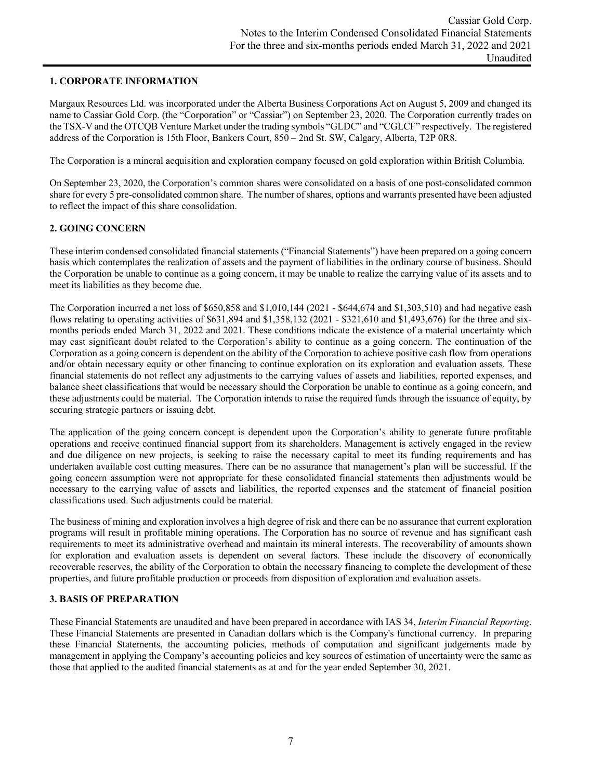## **1. CORPORATE INFORMATION**

Margaux Resources Ltd. was incorporated under the Alberta Business Corporations Act on August 5, 2009 and changed its name to Cassiar Gold Corp. (the "Corporation" or "Cassiar") on September 23, 2020. The Corporation currently trades on the TSX-V and the OTCQB Venture Market under the trading symbols "GLDC" and "CGLCF" respectively. The registered address of the Corporation is 15th Floor, Bankers Court, 850 – 2nd St. SW, Calgary, Alberta, T2P 0R8.

The Corporation is a mineral acquisition and exploration company focused on gold exploration within British Columbia.

On September 23, 2020, the Corporation's common shares were consolidated on a basis of one post-consolidated common share for every 5 pre-consolidated common share. The number of shares, options and warrants presented have been adjusted to reflect the impact of this share consolidation.

## **2. GOING CONCERN**

These interim condensed consolidated financial statements ("Financial Statements") have been prepared on a going concern basis which contemplates the realization of assets and the payment of liabilities in the ordinary course of business. Should the Corporation be unable to continue as a going concern, it may be unable to realize the carrying value of its assets and to meet its liabilities as they become due.

The Corporation incurred a net loss of \$650,858 and \$1,010,144 (2021 - \$644,674 and \$1,303,510) and had negative cash flows relating to operating activities of \$631,894 and \$1,358,132 (2021 - \$321,610 and \$1,493,676) for the three and sixmonths periods ended March 31, 2022 and 2021. These conditions indicate the existence of a material uncertainty which may cast significant doubt related to the Corporation's ability to continue as a going concern. The continuation of the Corporation as a going concern is dependent on the ability of the Corporation to achieve positive cash flow from operations and/or obtain necessary equity or other financing to continue exploration on its exploration and evaluation assets. These financial statements do not reflect any adjustments to the carrying values of assets and liabilities, reported expenses, and balance sheet classifications that would be necessary should the Corporation be unable to continue as a going concern, and these adjustments could be material. The Corporation intends to raise the required funds through the issuance of equity, by securing strategic partners or issuing debt.

The application of the going concern concept is dependent upon the Corporation's ability to generate future profitable operations and receive continued financial support from its shareholders. Management is actively engaged in the review and due diligence on new projects, is seeking to raise the necessary capital to meet its funding requirements and has undertaken available cost cutting measures. There can be no assurance that management's plan will be successful. If the going concern assumption were not appropriate for these consolidated financial statements then adjustments would be necessary to the carrying value of assets and liabilities, the reported expenses and the statement of financial position classifications used. Such adjustments could be material.

The business of mining and exploration involves a high degree of risk and there can be no assurance that current exploration programs will result in profitable mining operations. The Corporation has no source of revenue and has significant cash requirements to meet its administrative overhead and maintain its mineral interests. The recoverability of amounts shown for exploration and evaluation assets is dependent on several factors. These include the discovery of economically recoverable reserves, the ability of the Corporation to obtain the necessary financing to complete the development of these properties, and future profitable production or proceeds from disposition of exploration and evaluation assets.

### **3. BASIS OF PREPARATION**

These Financial Statements are unaudited and have been prepared in accordance with IAS 34, *Interim Financial Reporting*. These Financial Statements are presented in Canadian dollars which is the Company's functional currency. In preparing these Financial Statements, the accounting policies, methods of computation and significant judgements made by management in applying the Company's accounting policies and key sources of estimation of uncertainty were the same as those that applied to the audited financial statements as at and for the year ended September 30, 2021.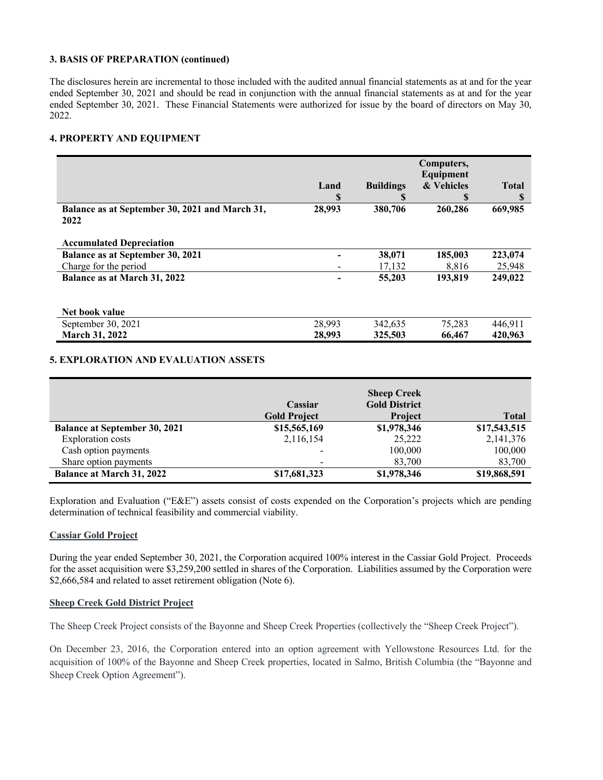#### **3. BASIS OF PREPARATION (continued)**

The disclosures herein are incremental to those included with the audited annual financial statements as at and for the year ended September 30, 2021 and should be read in conjunction with the annual financial statements as at and for the year ended September 30, 2021. These Financial Statements were authorized for issue by the board of directors on May 30, 2022.

## **4. PROPERTY AND EQUIPMENT**

|                                                        |        |                  | Computers,<br>Equipment |              |
|--------------------------------------------------------|--------|------------------|-------------------------|--------------|
|                                                        | Land   | <b>Buildings</b> | & Vehicles              | <b>Total</b> |
|                                                        | \$     |                  | \$                      |              |
| Balance as at September 30, 2021 and March 31,<br>2022 | 28,993 | 380,706          | 260,286                 | 669,985      |
| <b>Accumulated Depreciation</b>                        |        |                  |                         |              |
| Balance as at September 30, 2021                       |        | 38,071           | 185,003                 | 223,074      |
| Charge for the period                                  |        | 17,132           | 8,816                   | 25,948       |
| Balance as at March 31, 2022                           |        | 55,203           | 193,819                 | 249,022      |
| Net book value                                         |        |                  |                         |              |
| September 30, 2021                                     | 28,993 | 342,635          | 75,283                  | 446,911      |
| <b>March 31, 2022</b>                                  | 28,993 | 325,503          | 66,467                  | 420,963      |

## **5. EXPLORATION AND EVALUATION ASSETS**

|                                      | Cassiar             | <b>Sheep Creek</b><br><b>Gold District</b> |              |
|--------------------------------------|---------------------|--------------------------------------------|--------------|
|                                      | <b>Gold Project</b> | <b>Project</b>                             | <b>Total</b> |
| <b>Balance at September 30, 2021</b> | \$15,565,169        | \$1,978,346                                | \$17,543,515 |
| Exploration costs                    | 2,116,154           | 25,222                                     | 2,141,376    |
| Cash option payments                 |                     | 100,000                                    | 100,000      |
| Share option payments                |                     | 83,700                                     | 83,700       |
| <b>Balance at March 31, 2022</b>     | \$17,681,323        | \$1,978,346                                | \$19,868,591 |

Exploration and Evaluation ("E&E") assets consist of costs expended on the Corporation's projects which are pending determination of technical feasibility and commercial viability.

### **Cassiar Gold Project**

During the year ended September 30, 2021, the Corporation acquired 100% interest in the Cassiar Gold Project. Proceeds for the asset acquisition were \$3,259,200 settled in shares of the Corporation. Liabilities assumed by the Corporation were \$2,666,584 and related to asset retirement obligation (Note 6).

### **Sheep Creek Gold District Project**

The Sheep Creek Project consists of the Bayonne and Sheep Creek Properties (collectively the "Sheep Creek Project").

On December 23, 2016, the Corporation entered into an option agreement with Yellowstone Resources Ltd. for the acquisition of 100% of the Bayonne and Sheep Creek properties, located in Salmo, British Columbia (the "Bayonne and Sheep Creek Option Agreement").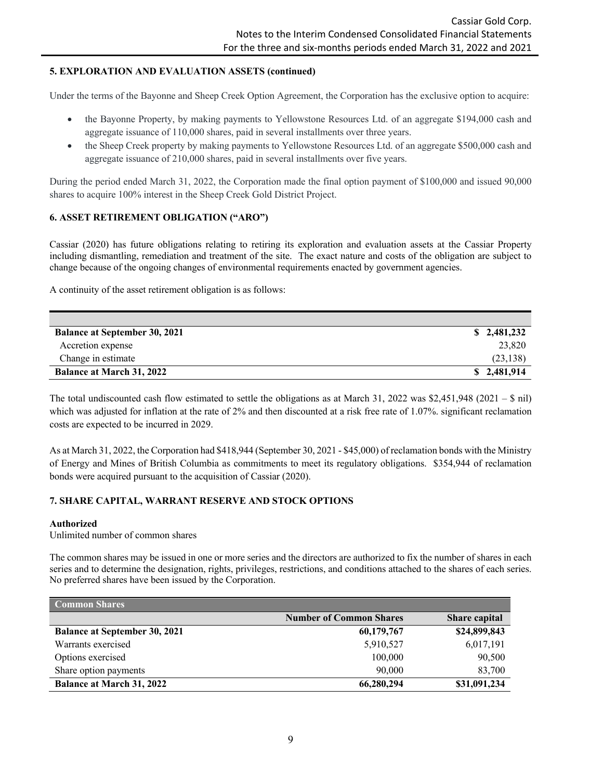## **5. EXPLORATION AND EVALUATION ASSETS (continued)**

Under the terms of the Bayonne and Sheep Creek Option Agreement, the Corporation has the exclusive option to acquire:

- the Bayonne Property, by making payments to Yellowstone Resources Ltd. of an aggregate \$194,000 cash and aggregate issuance of 110,000 shares, paid in several installments over three years.
- the Sheep Creek property by making payments to Yellowstone Resources Ltd. of an aggregate \$500,000 cash and aggregate issuance of 210,000 shares, paid in several installments over five years.

During the period ended March 31, 2022, the Corporation made the final option payment of \$100,000 and issued 90,000 shares to acquire 100% interest in the Sheep Creek Gold District Project.

## **6. ASSET RETIREMENT OBLIGATION ("ARO")**

Cassiar (2020) has future obligations relating to retiring its exploration and evaluation assets at the Cassiar Property including dismantling, remediation and treatment of the site. The exact nature and costs of the obligation are subject to change because of the ongoing changes of environmental requirements enacted by government agencies.

A continuity of the asset retirement obligation is as follows:

| <b>Balance at September 30, 2021</b> | \$2,481,232 |
|--------------------------------------|-------------|
| Accretion expense                    | 23,820      |
| Change in estimate                   | (23, 138)   |
| <b>Balance at March 31, 2022</b>     | \$2,481,914 |

The total undiscounted cash flow estimated to settle the obligations as at March 31, 2022 was \$2,451,948 (2021 – \$ nil) which was adjusted for inflation at the rate of 2% and then discounted at a risk free rate of 1.07%. significant reclamation costs are expected to be incurred in 2029.

As at March 31, 2022, the Corporation had \$418,944 (September 30, 2021 - \$45,000) of reclamation bonds with the Ministry of Energy and Mines of British Columbia as commitments to meet its regulatory obligations. \$354,944 of reclamation bonds were acquired pursuant to the acquisition of Cassiar (2020).

## **7. SHARE CAPITAL, WARRANT RESERVE AND STOCK OPTIONS**

### **Authorized**

Unlimited number of common shares

The common shares may be issued in one or more series and the directors are authorized to fix the number of shares in each series and to determine the designation, rights, privileges, restrictions, and conditions attached to the shares of each series. No preferred shares have been issued by the Corporation.

| <b>Common Shares</b>                 |                                |               |
|--------------------------------------|--------------------------------|---------------|
|                                      | <b>Number of Common Shares</b> | Share capital |
| <b>Balance at September 30, 2021</b> | 60,179,767                     | \$24,899,843  |
| Warrants exercised                   | 5,910,527                      | 6,017,191     |
| Options exercised                    | 100,000                        | 90,500        |
| Share option payments                | 90,000                         | 83,700        |
| <b>Balance at March 31, 2022</b>     | 66,280,294                     | \$31,091,234  |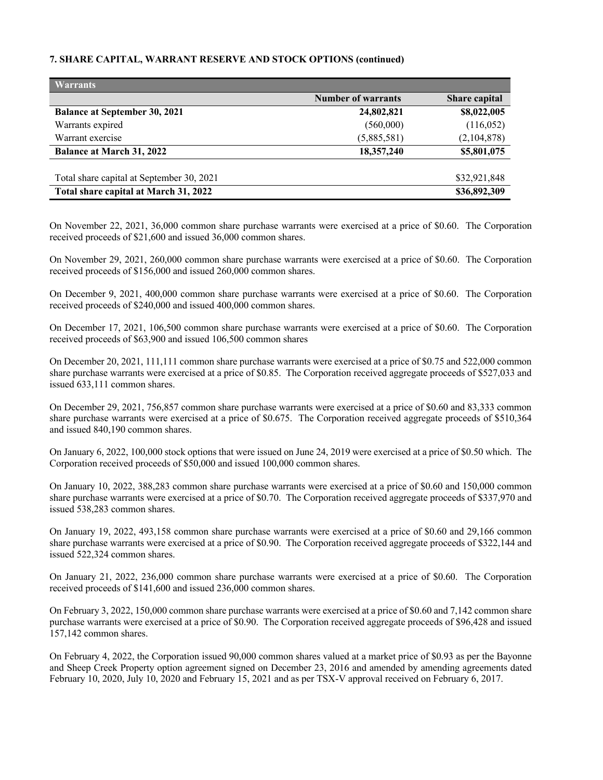## **7. SHARE CAPITAL, WARRANT RESERVE AND STOCK OPTIONS (continued)**

| <b>Warrants</b>                           |                           |                      |
|-------------------------------------------|---------------------------|----------------------|
|                                           | <b>Number of warrants</b> | <b>Share capital</b> |
| <b>Balance at September 30, 2021</b>      | 24,802,821                | \$8,022,005          |
| Warrants expired                          | (560,000)                 | (116, 052)           |
| Warrant exercise                          | (5,885,581)               | (2,104,878)          |
| <b>Balance at March 31, 2022</b>          | 18,357,240                | \$5,801,075          |
|                                           |                           |                      |
| Total share capital at September 30, 2021 |                           | \$32,921,848         |
| Total share capital at March 31, 2022     |                           | \$36,892,309         |

On November 22, 2021, 36,000 common share purchase warrants were exercised at a price of \$0.60. The Corporation received proceeds of \$21,600 and issued 36,000 common shares.

On November 29, 2021, 260,000 common share purchase warrants were exercised at a price of \$0.60. The Corporation received proceeds of \$156,000 and issued 260,000 common shares.

On December 9, 2021, 400,000 common share purchase warrants were exercised at a price of \$0.60. The Corporation received proceeds of \$240,000 and issued 400,000 common shares.

On December 17, 2021, 106,500 common share purchase warrants were exercised at a price of \$0.60. The Corporation received proceeds of \$63,900 and issued 106,500 common shares

On December 20, 2021, 111,111 common share purchase warrants were exercised at a price of \$0.75 and 522,000 common share purchase warrants were exercised at a price of \$0.85. The Corporation received aggregate proceeds of \$527,033 and issued 633,111 common shares.

On December 29, 2021, 756,857 common share purchase warrants were exercised at a price of \$0.60 and 83,333 common share purchase warrants were exercised at a price of \$0.675. The Corporation received aggregate proceeds of \$510,364 and issued 840,190 common shares.

On January 6, 2022, 100,000 stock options that were issued on June 24, 2019 were exercised at a price of \$0.50 which. The Corporation received proceeds of \$50,000 and issued 100,000 common shares.

On January 10, 2022, 388,283 common share purchase warrants were exercised at a price of \$0.60 and 150,000 common share purchase warrants were exercised at a price of \$0.70. The Corporation received aggregate proceeds of \$337,970 and issued 538,283 common shares.

On January 19, 2022, 493,158 common share purchase warrants were exercised at a price of \$0.60 and 29,166 common share purchase warrants were exercised at a price of \$0.90. The Corporation received aggregate proceeds of \$322,144 and issued 522,324 common shares.

On January 21, 2022, 236,000 common share purchase warrants were exercised at a price of \$0.60. The Corporation received proceeds of \$141,600 and issued 236,000 common shares.

On February 3, 2022, 150,000 common share purchase warrants were exercised at a price of \$0.60 and 7,142 common share purchase warrants were exercised at a price of \$0.90. The Corporation received aggregate proceeds of \$96,428 and issued 157,142 common shares.

On February 4, 2022, the Corporation issued 90,000 common shares valued at a market price of \$0.93 as per the Bayonne and Sheep Creek Property option agreement signed on December 23, 2016 and amended by amending agreements dated February 10, 2020, July 10, 2020 and February 15, 2021 and as per TSX-V approval received on February 6, 2017.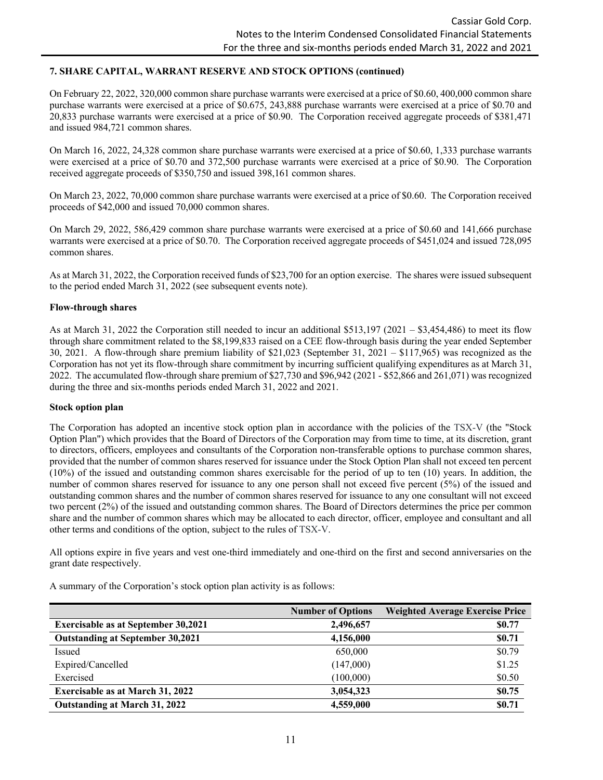## **7. SHARE CAPITAL, WARRANT RESERVE AND STOCK OPTIONS (continued)**

On February 22, 2022, 320,000 common share purchase warrants were exercised at a price of \$0.60, 400,000 common share purchase warrants were exercised at a price of \$0.675, 243,888 purchase warrants were exercised at a price of \$0.70 and 20,833 purchase warrants were exercised at a price of \$0.90. The Corporation received aggregate proceeds of \$381,471 and issued 984,721 common shares.

On March 16, 2022, 24,328 common share purchase warrants were exercised at a price of \$0.60, 1,333 purchase warrants were exercised at a price of \$0.70 and 372,500 purchase warrants were exercised at a price of \$0.90. The Corporation received aggregate proceeds of \$350,750 and issued 398,161 common shares.

On March 23, 2022, 70,000 common share purchase warrants were exercised at a price of \$0.60. The Corporation received proceeds of \$42,000 and issued 70,000 common shares.

On March 29, 2022, 586,429 common share purchase warrants were exercised at a price of \$0.60 and 141,666 purchase warrants were exercised at a price of \$0.70. The Corporation received aggregate proceeds of \$451,024 and issued 728,095 common shares.

As at March 31, 2022, the Corporation received funds of \$23,700 for an option exercise. The shares were issued subsequent to the period ended March 31, 2022 (see subsequent events note).

#### **Flow-through shares**

As at March 31, 2022 the Corporation still needed to incur an additional \$513,197 (2021 – \$3,454,486) to meet its flow through share commitment related to the \$8,199,833 raised on a CEE flow-through basis during the year ended September 30, 2021. A flow-through share premium liability of \$21,023 (September 31, 2021 – \$117,965) was recognized as the Corporation has not yet its flow-through share commitment by incurring sufficient qualifying expenditures as at March 31, 2022. The accumulated flow-through share premium of \$27,730 and \$96,942 (2021 - \$52,866 and 261,071) was recognized during the three and six-months periods ended March 31, 2022 and 2021.

#### **Stock option plan**

The Corporation has adopted an incentive stock option plan in accordance with the policies of the TSX-V (the "Stock Option Plan") which provides that the Board of Directors of the Corporation may from time to time, at its discretion, grant to directors, officers, employees and consultants of the Corporation non-transferable options to purchase common shares, provided that the number of common shares reserved for issuance under the Stock Option Plan shall not exceed ten percent (10%) of the issued and outstanding common shares exercisable for the period of up to ten (10) years. In addition, the number of common shares reserved for issuance to any one person shall not exceed five percent (5%) of the issued and outstanding common shares and the number of common shares reserved for issuance to any one consultant will not exceed two percent (2%) of the issued and outstanding common shares. The Board of Directors determines the price per common share and the number of common shares which may be allocated to each director, officer, employee and consultant and all other terms and conditions of the option, subject to the rules of TSX-V.

All options expire in five years and vest one-third immediately and one-third on the first and second anniversaries on the grant date respectively.

A summary of the Corporation's stock option plan activity is as follows:

|                                            | <b>Number of Options</b> | <b>Weighted Average Exercise Price</b> |
|--------------------------------------------|--------------------------|----------------------------------------|
| <b>Exercisable as at September 30,2021</b> | 2,496,657                | \$0.77                                 |
| <b>Outstanding at September 30,2021</b>    | 4,156,000                | \$0.71                                 |
| Issued                                     | 650,000                  | \$0.79                                 |
| Expired/Cancelled                          | (147,000)                | \$1.25                                 |
| Exercised                                  | (100,000)                | \$0.50                                 |
| <b>Exercisable as at March 31, 2022</b>    | 3,054,323                | \$0.75                                 |
| Outstanding at March 31, 2022              | 4,559,000                | \$0.71                                 |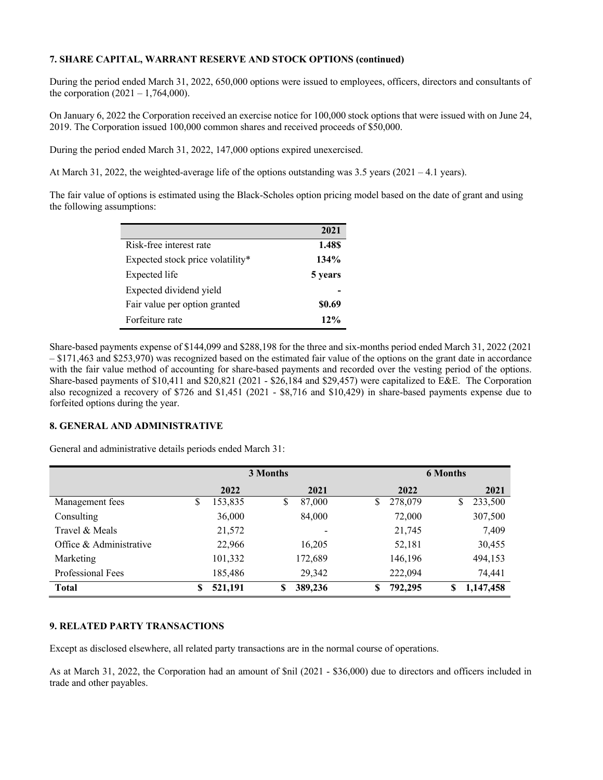## **7. SHARE CAPITAL, WARRANT RESERVE AND STOCK OPTIONS (continued)**

During the period ended March 31, 2022, 650,000 options were issued to employees, officers, directors and consultants of the corporation  $(2021 - 1,764,000)$ .

On January 6, 2022 the Corporation received an exercise notice for 100,000 stock options that were issued with on June 24, 2019. The Corporation issued 100,000 common shares and received proceeds of \$50,000.

During the period ended March 31, 2022, 147,000 options expired unexercised.

At March 31, 2022, the weighted-average life of the options outstanding was 3.5 years (2021 – 4.1 years).

The fair value of options is estimated using the Black-Scholes option pricing model based on the date of grant and using the following assumptions:

|                                  | 2021    |
|----------------------------------|---------|
| Risk-free interest rate          | 1.48\$  |
| Expected stock price volatility* | 134%    |
| Expected life                    | 5 years |
| Expected dividend yield          |         |
| Fair value per option granted    | \$0.69  |
| Forfeiture rate                  | $12\%$  |

Share-based payments expense of \$144,099 and \$288,198 for the three and six-months period ended March 31, 2022 (2021 – \$171,463 and \$253,970) was recognized based on the estimated fair value of the options on the grant date in accordance with the fair value method of accounting for share-based payments and recorded over the vesting period of the options. Share-based payments of \$10,411 and \$20,821 (2021 - \$26,184 and \$29,457) were capitalized to E&E. The Corporation also recognized a recovery of \$726 and \$1,451 (2021 - \$8,716 and \$10,429) in share-based payments expense due to forfeited options during the year.

### **8. GENERAL AND ADMINISTRATIVE**

General and administrative details periods ended March 31:

|                         | 3 Months |         |    |              |    | <b>6 Months</b> |   |           |  |
|-------------------------|----------|---------|----|--------------|----|-----------------|---|-----------|--|
|                         |          | 2022    |    | 2021         |    | 2022            |   | 2021      |  |
| Management fees         | \$       | 153,835 |    | \$<br>87,000 | S  | 278,079         | S | 233,500   |  |
| Consulting              |          | 36,000  |    | 84,000       |    | 72,000          |   | 307,500   |  |
| Travel & Meals          |          | 21,572  |    |              |    | 21,745          |   | 7,409     |  |
| Office & Administrative |          | 22,966  |    | 16,205       |    | 52,181          |   | 30,455    |  |
| Marketing               |          | 101,332 |    | 172,689      |    | 146,196         |   | 494,153   |  |
| Professional Fees       |          | 185,486 |    | 29,342       |    | 222,094         |   | 74,441    |  |
| <b>Total</b>            | S        | 521,191 | \$ | 389,236      | \$ | 792,295         | S | 1,147,458 |  |

### **9. RELATED PARTY TRANSACTIONS**

Except as disclosed elsewhere, all related party transactions are in the normal course of operations.

As at March 31, 2022, the Corporation had an amount of \$nil (2021 - \$36,000) due to directors and officers included in trade and other payables.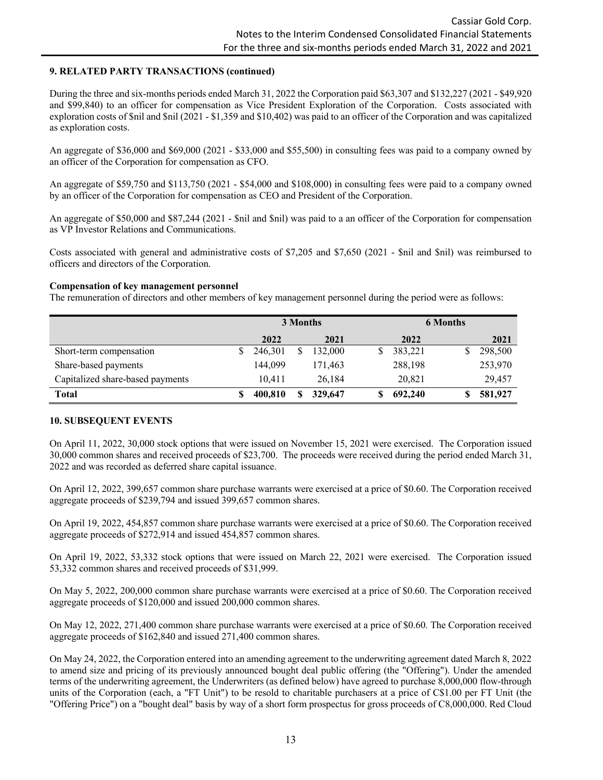### **9. RELATED PARTY TRANSACTIONS (continued)**

During the three and six-months periods ended March 31, 2022 the Corporation paid \$63,307 and \$132,227 (2021 - \$49,920 and \$99,840) to an officer for compensation as Vice President Exploration of the Corporation. Costs associated with exploration costs of \$nil and \$nil (2021 - \$1,359 and \$10,402) was paid to an officer of the Corporation and was capitalized as exploration costs.

An aggregate of \$36,000 and \$69,000 (2021 - \$33,000 and \$55,500) in consulting fees was paid to a company owned by an officer of the Corporation for compensation as CFO.

An aggregate of \$59,750 and \$113,750 (2021 - \$54,000 and \$108,000) in consulting fees were paid to a company owned by an officer of the Corporation for compensation as CEO and President of the Corporation.

An aggregate of \$50,000 and \$87,244 (2021 - \$nil and \$nil) was paid to a an officer of the Corporation for compensation as VP Investor Relations and Communications.

Costs associated with general and administrative costs of \$7,205 and \$7,650 (2021 - \$nil and \$nil) was reimbursed to officers and directors of the Corporation.

#### **Compensation of key management personnel**

The remuneration of directors and other members of key management personnel during the period were as follows:

|                                  |         | 3 Months | <b>6 Months</b> |  |         |  |
|----------------------------------|---------|----------|-----------------|--|---------|--|
|                                  | 2022    | 2021     | 2022            |  | 2021    |  |
| Short-term compensation          | 246,301 | 132,000  | 383,221         |  | 298,500 |  |
| Share-based payments             | 144.099 | 171,463  | 288,198         |  | 253,970 |  |
| Capitalized share-based payments | 10.411  | 26,184   | 20,821          |  | 29,457  |  |
| <b>Total</b>                     | 400,810 | 329,647  | 692,240         |  | 581,927 |  |

### **10. SUBSEQUENT EVENTS**

On April 11, 2022, 30,000 stock options that were issued on November 15, 2021 were exercised. The Corporation issued 30,000 common shares and received proceeds of \$23,700. The proceeds were received during the period ended March 31, 2022 and was recorded as deferred share capital issuance.

On April 12, 2022, 399,657 common share purchase warrants were exercised at a price of \$0.60. The Corporation received aggregate proceeds of \$239,794 and issued 399,657 common shares.

On April 19, 2022, 454,857 common share purchase warrants were exercised at a price of \$0.60. The Corporation received aggregate proceeds of \$272,914 and issued 454,857 common shares.

On April 19, 2022, 53,332 stock options that were issued on March 22, 2021 were exercised. The Corporation issued 53,332 common shares and received proceeds of \$31,999.

On May 5, 2022, 200,000 common share purchase warrants were exercised at a price of \$0.60. The Corporation received aggregate proceeds of \$120,000 and issued 200,000 common shares.

On May 12, 2022, 271,400 common share purchase warrants were exercised at a price of \$0.60. The Corporation received aggregate proceeds of \$162,840 and issued 271,400 common shares.

On May 24, 2022, the Corporation entered into an amending agreement to the underwriting agreement dated March 8, 2022 to amend size and pricing of its previously announced bought deal public offering (the "Offering"). Under the amended terms of the underwriting agreement, the Underwriters (as defined below) have agreed to purchase 8,000,000 flow-through units of the Corporation (each, a "FT Unit") to be resold to charitable purchasers at a price of C\$1.00 per FT Unit (the "Offering Price") on a "bought deal" basis by way of a short form prospectus for gross proceeds of C8,000,000. Red Cloud